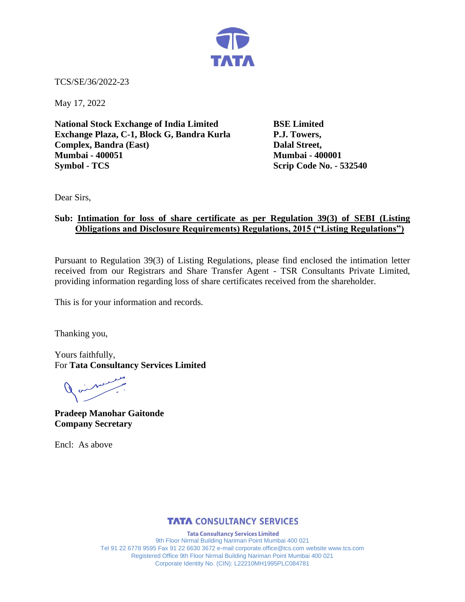

TCS/SE/36/2022-23

May 17, 2022

**National Stock Exchange of India Limited BSE Limited Exchange Plaza, C-1, Block G, Bandra Kurla P.J. Towers, Complex, Bandra (East)** Dalal Street, **Mumbai - 400051 Mumbai - 400001 Symbol - TCS Scrip Code No. - 532540** 

Dear Sirs,

## **Sub: Intimation for loss of share certificate as per Regulation 39(3) of SEBI (Listing Obligations and Disclosure Requirements) Regulations, 2015 ("Listing Regulations")**

Pursuant to Regulation 39(3) of Listing Regulations, please find enclosed the intimation letter received from our Registrars and Share Transfer Agent - TSR Consultants Private Limited, providing information regarding loss of share certificates received from the shareholder.

This is for your information and records.

Thanking you,

Yours faithfully, For **Tata Consultancy Services Limited**

Quinton

**Pradeep Manohar Gaitonde Company Secretary**

Encl: As above

## **TATA CONSULTANCY SERVICES**

**Tata Consultancy Services Limited** 9th Floor Nirmal Building Nariman Point Mumbai 400 021 Tel 91 22 6778 9595 Fax 91 22 6630 3672 e-mail corporate.office@tcs.com website www.tcs.com Registered Office 9th Floor Nirmal Building Nariman Point Mumbai 400 021 Corporate Identity No. (CIN): L22210MH1995PLC084781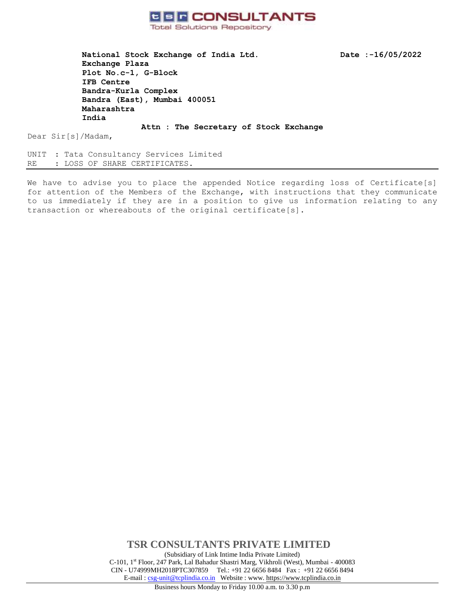

National Stock Exchange of India Ltd. Date :-16/05/2022 **Exchange Plaza Plot No.c-1, G-Block IFB Centre Bandra-Kurla Complex Bandra (East), Mumbai 400051 Maharashtra India**

Dear Sir[s]/Madam,

UNIT : Tata Consultancy Services Limited RE : LOSS OF SHARE CERTIFICATES.

We have to advise you to place the appended Notice regarding loss of Certificate[s] for attention of the Members of the Exchange, with instructions that they communicate to us immediately if they are in a position to give us information relating to any transaction or whereabouts of the original certificate[s].

**Attn : The Secretary of Stock Exchange**

**TSR CONSULTANTS PRIVATE LIMITED** (Subsidiary of Link Intime India Private Limited) C-101, 1st Floor, 247 Park, Lal Bahadur Shastri Marg, Vikhroli (West), Mumbai - 400083 CIN - U74999MH2018PTC307859Tel.: +91 22 6656 8484 Fax : +91 22 6656 8494 E-mail [: csg-unit@tcplindia.co.in](mailto:csg-unit@tcplindia.co.in) Website : www. [https://www.tcplindia.co.in](http://www.tsrdarashaw.com/)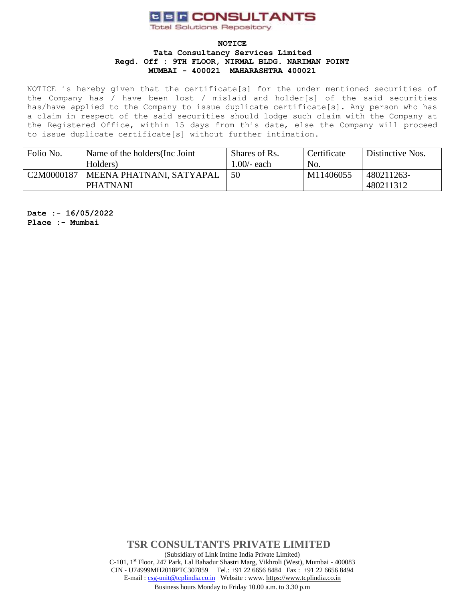# **CER CONSULTANTS**

**Total Solutions Repository** 

#### **NOTICE**

#### **Tata Consultancy Services Limited Regd. Off : 9TH FLOOR, NIRMAL BLDG. NARIMAN POINT MUMBAI - 400021 MAHARASHTRA 400021**

NOTICE is hereby given that the certificate[s] for the under mentioned securities of the Company has / have been lost / mislaid and holder[s] of the said securities has/have applied to the Company to issue duplicate certificate[s]. Any person who has a claim in respect of the said securities should lodge such claim with the Company at the Registered Office, within 15 days from this date, else the Company will proceed to issue duplicate certificate[s] without further intimation.

| Folio No.                           | Name of the holders (Inc. Joint | Shares of Rs. | Certificate | Distinctive Nos. |
|-------------------------------------|---------------------------------|---------------|-------------|------------------|
|                                     | Holders)                        | .00/- each    | No.         |                  |
| C <sub>2</sub> M <sub>0000187</sub> | MEENA PHATNANI, SATYAPAL        | 50            | M11406055   | 480211263-       |
|                                     | <b>PHATNANI</b>                 |               |             | 480211312        |

**Date :- 16/05/2022 Place :- Mumbai**

> **TSR CONSULTANTS PRIVATE LIMITED** (Subsidiary of Link Intime India Private Limited) C-101, 1st Floor, 247 Park, Lal Bahadur Shastri Marg, Vikhroli (West), Mumbai - 400083 CIN - U74999MH2018PTC307859Tel.: +91 22 6656 8484 Fax : +91 22 6656 8494 E-mail [: csg-unit@tcplindia.co.in](mailto:csg-unit@tcplindia.co.in) Website : www. [https://www.tcplindia.co.in](http://www.tsrdarashaw.com/)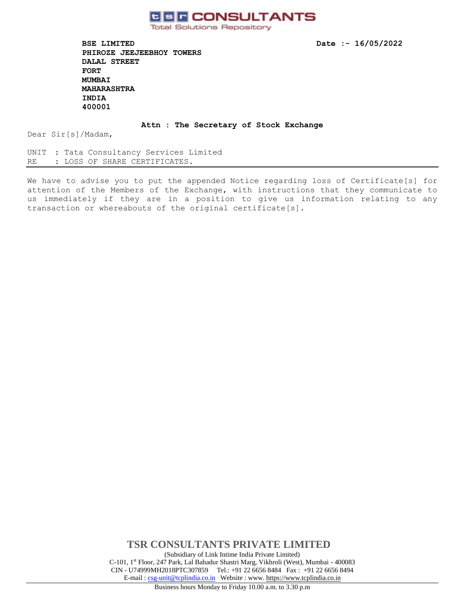

**Total Solutions Repository** 

**BSE LIMITED Date :- 16/05/2022 PHIROZE JEEJEEBHOY TOWERS DALAL STREET FORT MUMBAI MAHARASHTRA INDIA 400001** 

**Attn : The Secretary of Stock Exchange**

Dear Sir[s]/Madam,

UNIT : Tata Consultancy Services Limited RE : LOSS OF SHARE CERTIFICATES.

We have to advise you to put the appended Notice regarding loss of Certificate[s] for attention of the Members of the Exchange, with instructions that they communicate to us immediately if they are in a position to give us information relating to any transaction or whereabouts of the original certificate[s].

> **TSR CONSULTANTS PRIVATE LIMITED** (Subsidiary of Link Intime India Private Limited) C-101, 1st Floor, 247 Park, Lal Bahadur Shastri Marg, Vikhroli (West), Mumbai - 400083 CIN - U74999MH2018PTC307859Tel.: +91 22 6656 8484 Fax : +91 22 6656 8494 E-mail [: csg-unit@tcplindia.co.in](mailto:csg-unit@tcplindia.co.in) Website : www. [https://www.tcplindia.co.in](http://www.tsrdarashaw.com/)